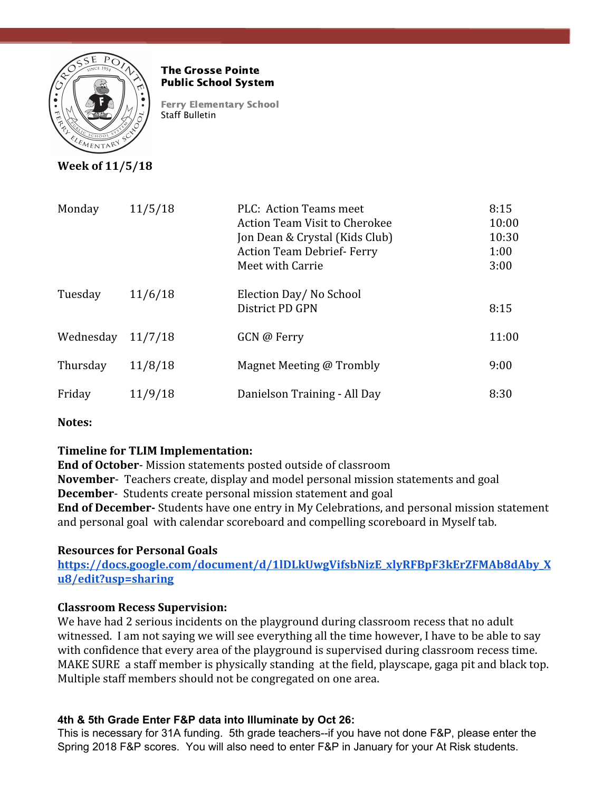

#### The Grosse Pointe Public School System

Ferry Elementary School Staff Bulletin

**Week of 11/5/18**

| Monday    | 11/5/18 | PLC: Action Teams meet<br><b>Action Team Visit to Cherokee</b><br>Jon Dean & Crystal (Kids Club)<br><b>Action Team Debrief-Ferry</b><br>Meet with Carrie | 8:15<br>10:00<br>10:30<br>1:00<br>3:00 |
|-----------|---------|----------------------------------------------------------------------------------------------------------------------------------------------------------|----------------------------------------|
| Tuesday   | 11/6/18 | Election Day/No School<br>District PD GPN                                                                                                                | 8:15                                   |
| Wednesday | 11/7/18 | GCN @ Ferry                                                                                                                                              | 11:00                                  |
| Thursday  | 11/8/18 | Magnet Meeting @ Trombly                                                                                                                                 | 9:00                                   |
| Friday    | 11/9/18 | Danielson Training - All Day                                                                                                                             | 8:30                                   |

**Notes:**

# **Timeline for TLIM Implementation:**

**End of October**- Mission statements posted outside of classroom **November**- Teachers create, display and model personal mission statements and goal **December**- Students create personal mission statement and goal **End of December-** Students have one entry in My Celebrations, and personal mission statement and personal goal with calendar scoreboard and compelling scoreboard in Myself tab.

## **Resources for Personal Goals**

**[https://docs.google.com/document/d/1lDLkUwgVifsbNizE\\_xlyRFBpF3kErZFMAb8dAby\\_X](https://docs.google.com/document/d/1lDLkUwgVifsbNizE_xlyRFBpF3kErZFMAb8dAby_Xu8/edit?usp=sharing) [u8/edit?usp=sharing](https://docs.google.com/document/d/1lDLkUwgVifsbNizE_xlyRFBpF3kErZFMAb8dAby_Xu8/edit?usp=sharing)**

## **Classroom Recess Supervision:**

We have had 2 serious incidents on the playground during classroom recess that no adult witnessed. I am not saying we will see everything all the time however, I have to be able to say with confidence that every area of the playground is supervised during classroom recess time. MAKE SURE a staff member is physically standing at the field, playscape, gaga pit and black top. Multiple staff members should not be congregated on one area.

## **4th & 5th Grade Enter F&P data into Illuminate by Oct 26:**

This is necessary for 31A funding. 5th grade teachers--if you have not done F&P, please enter the Spring 2018 F&P scores. You will also need to enter F&P in January for your At Risk students.